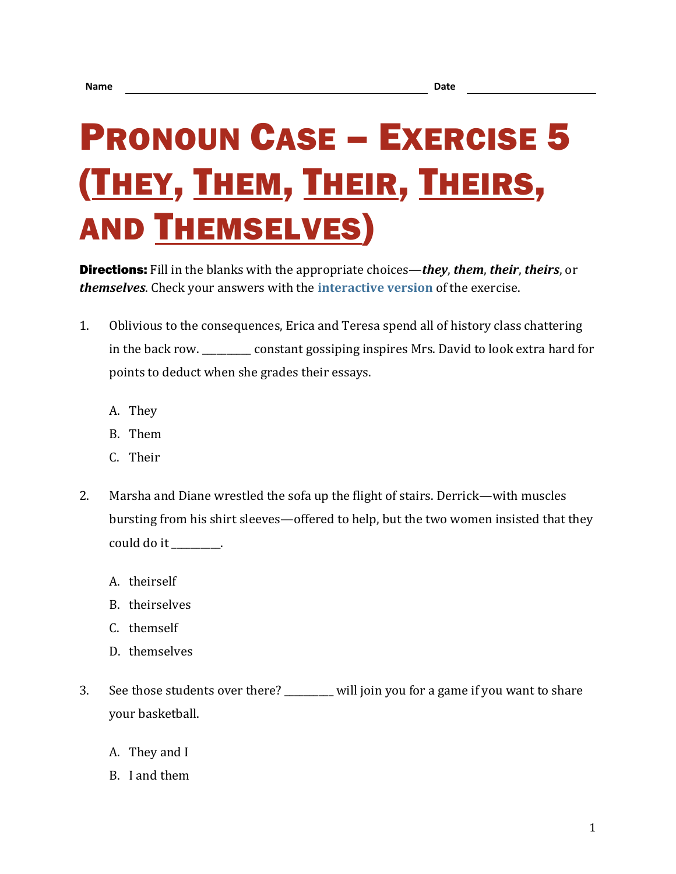## PRONOUN CASE – EXERCISE 5 (THEY, THEM, THEIR, THEIRS, AND THEMSELVES)

Directions: Fill in the blanks with the appropriate choices—*they*, *them*, *their*, *theirs*, or *themselves*. Check your answers with the **[interactive version](https://chompchomp.com/hotpotatoes/procase05.htm)** of the exercise.

- 1. Oblivious to the consequences, Erica and Teresa spend all of history class chattering in the back row. \_\_\_\_\_\_\_\_\_\_ constant gossiping inspires Mrs. David to look extra hard for points to deduct when she grades their essays.
	- A. They
	- B. Them
	- C. Their
- 2. Marsha and Diane wrestled the sofa up the flight of stairs. Derrick—with muscles bursting from his shirt sleeves—offered to help, but the two women insisted that they could do it \_\_\_\_\_\_\_\_\_\_.
	- A. theirself
	- B. theirselves
	- C. themself
	- D. themselves
- 3. See those students over there? \_\_\_\_\_\_\_\_\_\_ will join you for a game if you want to share your basketball.
	- A. They and I
	- B. I and them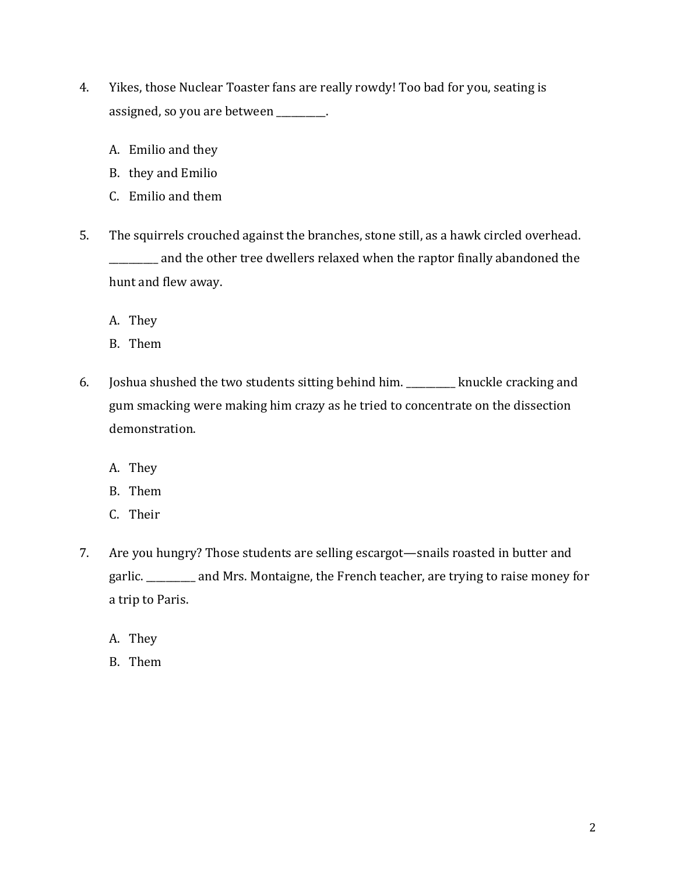- 4. Yikes, those Nuclear Toaster fans are really rowdy! Too bad for you, seating is assigned, so you are between \_\_\_\_\_\_\_\_\_\_.
	- A. Emilio and they
	- B. they and Emilio
	- C. Emilio and them
- 5. The squirrels crouched against the branches, stone still, as a hawk circled overhead. \_\_\_\_\_\_\_\_\_\_ and the other tree dwellers relaxed when the raptor finally abandoned the hunt and flew away.
	- A. They
	- B. Them
- 6. Joshua shushed the two students sitting behind him. \_\_\_\_\_\_\_\_\_\_ knuckle cracking and gum smacking were making him crazy as he tried to concentrate on the dissection demonstration.
	- A. They
	- B. Them
	- C. Their
- 7. Are you hungry? Those students are selling escargot—snails roasted in butter and garlic. \_\_\_\_\_\_\_\_\_\_ and Mrs. Montaigne, the French teacher, are trying to raise money for a trip to Paris.
	- A. They
	- B. Them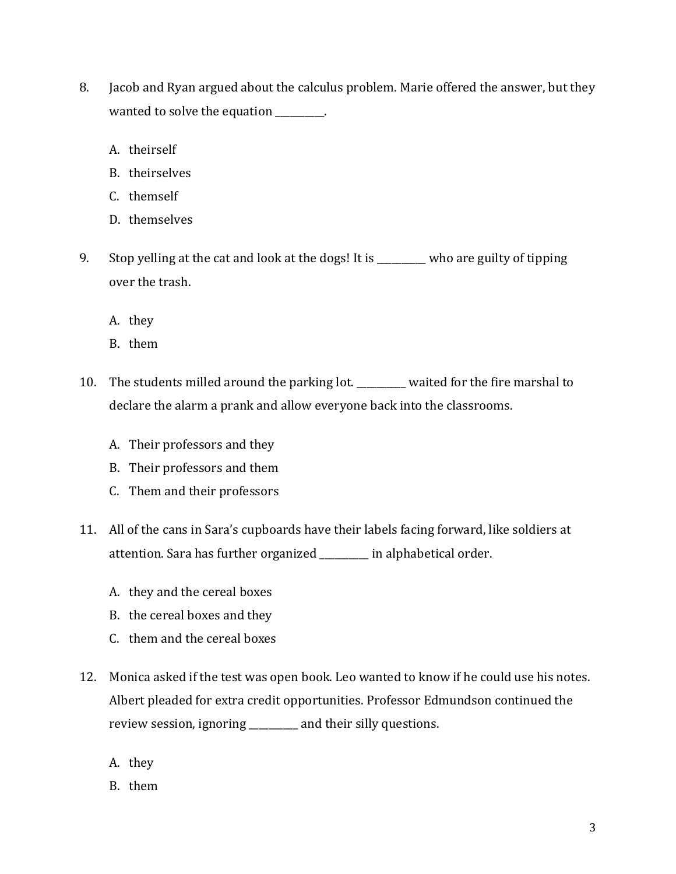- 8. Jacob and Ryan argued about the calculus problem. Marie offered the answer, but they wanted to solve the equation \_\_\_\_\_\_\_\_.
	- A. theirself
	- B. theirselves
	- C. themself
	- D. themselves
- 9. Stop yelling at the cat and look at the dogs! It is \_\_\_\_\_\_\_\_ who are guilty of tipping over the trash.
	- A. they
	- B. them
- 10. The students milled around the parking lot. \_\_\_\_\_\_\_\_\_\_ waited for the fire marshal to declare the alarm a prank and allow everyone back into the classrooms.
	- A. Their professors and they
	- B. Their professors and them
	- C. Them and their professors
- 11. All of the cans in Sara's cupboards have their labels facing forward, like soldiers at attention. Sara has further organized \_\_\_\_\_\_\_\_\_\_ in alphabetical order.
	- A. they and the cereal boxes
	- B. the cereal boxes and they
	- C. them and the cereal boxes
- 12. Monica asked if the test was open book. Leo wanted to know if he could use his notes. Albert pleaded for extra credit opportunities. Professor Edmundson continued the review session, ignoring \_\_\_\_\_\_\_\_\_\_ and their silly questions.
	- A. they
	- B. them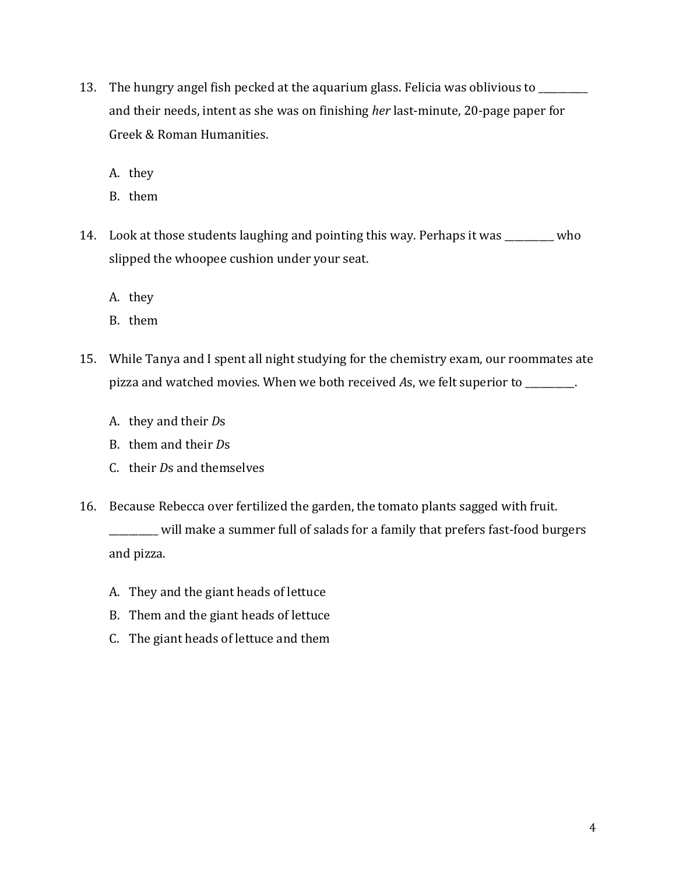- 13. The hungry angel fish pecked at the aquarium glass. Felicia was oblivious to \_\_\_\_\_\_\_\_\_\_ and their needs, intent as she was on finishing *her* last-minute, 20-page paper for Greek & Roman Humanities.
	- A. they
	- B. them
- 14. Look at those students laughing and pointing this way. Perhaps it was \_\_\_\_\_\_\_\_\_\_ who slipped the whoopee cushion under your seat.
	- A. they
	- B. them
- 15. While Tanya and I spent all night studying for the chemistry exam, our roommates ate pizza and watched movies. When we both received *A*s, we felt superior to \_\_\_\_\_\_\_\_\_\_.
	- A. they and their *D*s
	- B. them and their *D*s
	- C. their *D*s and themselves
- 16. Because Rebecca over fertilized the garden, the tomato plants sagged with fruit. \_\_\_\_\_\_\_\_\_\_ will make a summer full of salads for a family that prefers fast-food burgers and pizza.
	- A. They and the giant heads of lettuce
	- B. Them and the giant heads of lettuce
	- C. The giant heads of lettuce and them